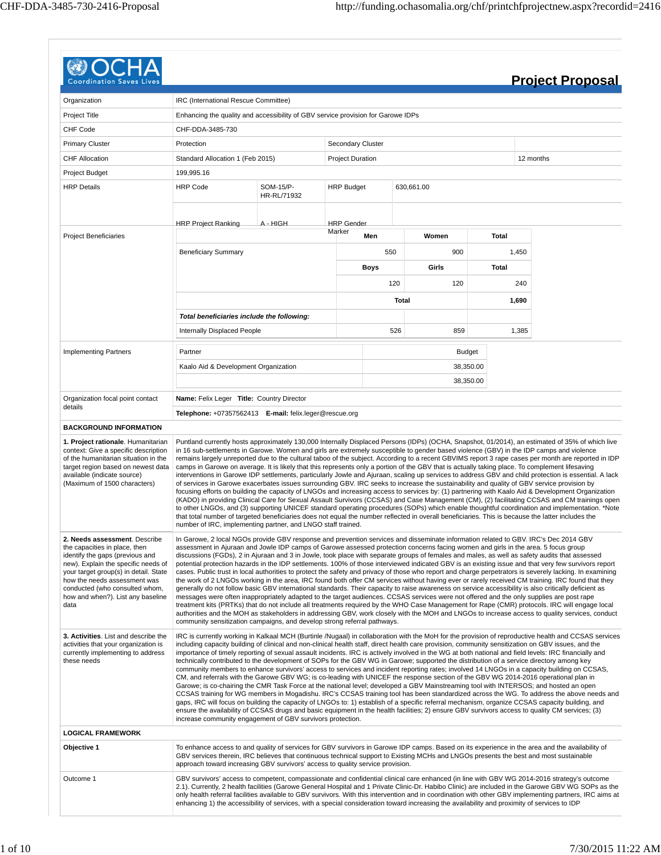| Coordination                                                                                                                                                                                                                                                                                     |                                                                                                                                                                                                                                                                                                                                                                                                                                                                                                                                                                                                                                                                                                                                                                                                                                                                                                                                                                                                                                                                                                                                                                                                                                                                                                                                                                                                                                                                                                                                                                                                                                               |                          |                          |      |       |                                                                                                                                              |              | <b>Project Proposal</b>                                                                                                                                                                                                                                                                                                                                                                                                                                                                                                                                                                                                                                                                                                                                                                                                                                                                                                                                                                                                                                                            |
|--------------------------------------------------------------------------------------------------------------------------------------------------------------------------------------------------------------------------------------------------------------------------------------------------|-----------------------------------------------------------------------------------------------------------------------------------------------------------------------------------------------------------------------------------------------------------------------------------------------------------------------------------------------------------------------------------------------------------------------------------------------------------------------------------------------------------------------------------------------------------------------------------------------------------------------------------------------------------------------------------------------------------------------------------------------------------------------------------------------------------------------------------------------------------------------------------------------------------------------------------------------------------------------------------------------------------------------------------------------------------------------------------------------------------------------------------------------------------------------------------------------------------------------------------------------------------------------------------------------------------------------------------------------------------------------------------------------------------------------------------------------------------------------------------------------------------------------------------------------------------------------------------------------------------------------------------------------|--------------------------|--------------------------|------|-------|----------------------------------------------------------------------------------------------------------------------------------------------|--------------|------------------------------------------------------------------------------------------------------------------------------------------------------------------------------------------------------------------------------------------------------------------------------------------------------------------------------------------------------------------------------------------------------------------------------------------------------------------------------------------------------------------------------------------------------------------------------------------------------------------------------------------------------------------------------------------------------------------------------------------------------------------------------------------------------------------------------------------------------------------------------------------------------------------------------------------------------------------------------------------------------------------------------------------------------------------------------------|
| Organization                                                                                                                                                                                                                                                                                     | IRC (International Rescue Committee)                                                                                                                                                                                                                                                                                                                                                                                                                                                                                                                                                                                                                                                                                                                                                                                                                                                                                                                                                                                                                                                                                                                                                                                                                                                                                                                                                                                                                                                                                                                                                                                                          |                          |                          |      |       |                                                                                                                                              |              |                                                                                                                                                                                                                                                                                                                                                                                                                                                                                                                                                                                                                                                                                                                                                                                                                                                                                                                                                                                                                                                                                    |
| Project Title                                                                                                                                                                                                                                                                                    | Enhancing the quality and accessibility of GBV service provision for Garowe IDPs                                                                                                                                                                                                                                                                                                                                                                                                                                                                                                                                                                                                                                                                                                                                                                                                                                                                                                                                                                                                                                                                                                                                                                                                                                                                                                                                                                                                                                                                                                                                                              |                          |                          |      |       |                                                                                                                                              |              |                                                                                                                                                                                                                                                                                                                                                                                                                                                                                                                                                                                                                                                                                                                                                                                                                                                                                                                                                                                                                                                                                    |
| CHF Code                                                                                                                                                                                                                                                                                         | CHF-DDA-3485-730                                                                                                                                                                                                                                                                                                                                                                                                                                                                                                                                                                                                                                                                                                                                                                                                                                                                                                                                                                                                                                                                                                                                                                                                                                                                                                                                                                                                                                                                                                                                                                                                                              |                          |                          |      |       |                                                                                                                                              |              |                                                                                                                                                                                                                                                                                                                                                                                                                                                                                                                                                                                                                                                                                                                                                                                                                                                                                                                                                                                                                                                                                    |
| <b>Primary Cluster</b>                                                                                                                                                                                                                                                                           | Protection                                                                                                                                                                                                                                                                                                                                                                                                                                                                                                                                                                                                                                                                                                                                                                                                                                                                                                                                                                                                                                                                                                                                                                                                                                                                                                                                                                                                                                                                                                                                                                                                                                    |                          | <b>Secondary Cluster</b> |      |       |                                                                                                                                              |              |                                                                                                                                                                                                                                                                                                                                                                                                                                                                                                                                                                                                                                                                                                                                                                                                                                                                                                                                                                                                                                                                                    |
| <b>CHF Allocation</b>                                                                                                                                                                                                                                                                            | Standard Allocation 1 (Feb 2015)                                                                                                                                                                                                                                                                                                                                                                                                                                                                                                                                                                                                                                                                                                                                                                                                                                                                                                                                                                                                                                                                                                                                                                                                                                                                                                                                                                                                                                                                                                                                                                                                              |                          | <b>Project Duration</b>  |      |       |                                                                                                                                              |              | 12 months                                                                                                                                                                                                                                                                                                                                                                                                                                                                                                                                                                                                                                                                                                                                                                                                                                                                                                                                                                                                                                                                          |
| <b>Project Budget</b>                                                                                                                                                                                                                                                                            | 199,995.16                                                                                                                                                                                                                                                                                                                                                                                                                                                                                                                                                                                                                                                                                                                                                                                                                                                                                                                                                                                                                                                                                                                                                                                                                                                                                                                                                                                                                                                                                                                                                                                                                                    |                          |                          |      |       |                                                                                                                                              |              |                                                                                                                                                                                                                                                                                                                                                                                                                                                                                                                                                                                                                                                                                                                                                                                                                                                                                                                                                                                                                                                                                    |
| <b>HRP Details</b>                                                                                                                                                                                                                                                                               | <b>HRP Code</b>                                                                                                                                                                                                                                                                                                                                                                                                                                                                                                                                                                                                                                                                                                                                                                                                                                                                                                                                                                                                                                                                                                                                                                                                                                                                                                                                                                                                                                                                                                                                                                                                                               | SOM-15/P-<br>HR-RL/71932 | <b>HRP Budget</b>        |      |       | 630,661.00                                                                                                                                   |              |                                                                                                                                                                                                                                                                                                                                                                                                                                                                                                                                                                                                                                                                                                                                                                                                                                                                                                                                                                                                                                                                                    |
|                                                                                                                                                                                                                                                                                                  |                                                                                                                                                                                                                                                                                                                                                                                                                                                                                                                                                                                                                                                                                                                                                                                                                                                                                                                                                                                                                                                                                                                                                                                                                                                                                                                                                                                                                                                                                                                                                                                                                                               |                          |                          |      |       |                                                                                                                                              |              |                                                                                                                                                                                                                                                                                                                                                                                                                                                                                                                                                                                                                                                                                                                                                                                                                                                                                                                                                                                                                                                                                    |
|                                                                                                                                                                                                                                                                                                  | <b>HRP Project Ranking</b>                                                                                                                                                                                                                                                                                                                                                                                                                                                                                                                                                                                                                                                                                                                                                                                                                                                                                                                                                                                                                                                                                                                                                                                                                                                                                                                                                                                                                                                                                                                                                                                                                    | A - HIGH                 | <b>HRP</b> Gender        |      |       |                                                                                                                                              |              |                                                                                                                                                                                                                                                                                                                                                                                                                                                                                                                                                                                                                                                                                                                                                                                                                                                                                                                                                                                                                                                                                    |
| <b>Project Beneficiaries</b>                                                                                                                                                                                                                                                                     |                                                                                                                                                                                                                                                                                                                                                                                                                                                                                                                                                                                                                                                                                                                                                                                                                                                                                                                                                                                                                                                                                                                                                                                                                                                                                                                                                                                                                                                                                                                                                                                                                                               |                          | Marker                   | Men  |       | Women                                                                                                                                        | <b>Total</b> |                                                                                                                                                                                                                                                                                                                                                                                                                                                                                                                                                                                                                                                                                                                                                                                                                                                                                                                                                                                                                                                                                    |
|                                                                                                                                                                                                                                                                                                  | <b>Beneficiary Summary</b>                                                                                                                                                                                                                                                                                                                                                                                                                                                                                                                                                                                                                                                                                                                                                                                                                                                                                                                                                                                                                                                                                                                                                                                                                                                                                                                                                                                                                                                                                                                                                                                                                    |                          |                          | 550  |       | 900                                                                                                                                          | 1,450        |                                                                                                                                                                                                                                                                                                                                                                                                                                                                                                                                                                                                                                                                                                                                                                                                                                                                                                                                                                                                                                                                                    |
|                                                                                                                                                                                                                                                                                                  |                                                                                                                                                                                                                                                                                                                                                                                                                                                                                                                                                                                                                                                                                                                                                                                                                                                                                                                                                                                                                                                                                                                                                                                                                                                                                                                                                                                                                                                                                                                                                                                                                                               |                          |                          |      |       |                                                                                                                                              |              |                                                                                                                                                                                                                                                                                                                                                                                                                                                                                                                                                                                                                                                                                                                                                                                                                                                                                                                                                                                                                                                                                    |
|                                                                                                                                                                                                                                                                                                  |                                                                                                                                                                                                                                                                                                                                                                                                                                                                                                                                                                                                                                                                                                                                                                                                                                                                                                                                                                                                                                                                                                                                                                                                                                                                                                                                                                                                                                                                                                                                                                                                                                               |                          |                          | Boys |       | Girls                                                                                                                                        | Total        |                                                                                                                                                                                                                                                                                                                                                                                                                                                                                                                                                                                                                                                                                                                                                                                                                                                                                                                                                                                                                                                                                    |
|                                                                                                                                                                                                                                                                                                  |                                                                                                                                                                                                                                                                                                                                                                                                                                                                                                                                                                                                                                                                                                                                                                                                                                                                                                                                                                                                                                                                                                                                                                                                                                                                                                                                                                                                                                                                                                                                                                                                                                               |                          |                          |      | 120   | 120                                                                                                                                          |              | 240                                                                                                                                                                                                                                                                                                                                                                                                                                                                                                                                                                                                                                                                                                                                                                                                                                                                                                                                                                                                                                                                                |
|                                                                                                                                                                                                                                                                                                  |                                                                                                                                                                                                                                                                                                                                                                                                                                                                                                                                                                                                                                                                                                                                                                                                                                                                                                                                                                                                                                                                                                                                                                                                                                                                                                                                                                                                                                                                                                                                                                                                                                               |                          |                          |      | Total |                                                                                                                                              | 1,690        |                                                                                                                                                                                                                                                                                                                                                                                                                                                                                                                                                                                                                                                                                                                                                                                                                                                                                                                                                                                                                                                                                    |
|                                                                                                                                                                                                                                                                                                  | Total beneficiaries include the following:                                                                                                                                                                                                                                                                                                                                                                                                                                                                                                                                                                                                                                                                                                                                                                                                                                                                                                                                                                                                                                                                                                                                                                                                                                                                                                                                                                                                                                                                                                                                                                                                    |                          |                          |      |       |                                                                                                                                              |              |                                                                                                                                                                                                                                                                                                                                                                                                                                                                                                                                                                                                                                                                                                                                                                                                                                                                                                                                                                                                                                                                                    |
|                                                                                                                                                                                                                                                                                                  | <b>Internally Displaced People</b>                                                                                                                                                                                                                                                                                                                                                                                                                                                                                                                                                                                                                                                                                                                                                                                                                                                                                                                                                                                                                                                                                                                                                                                                                                                                                                                                                                                                                                                                                                                                                                                                            |                          |                          |      | 526   | 859                                                                                                                                          | 1,385        |                                                                                                                                                                                                                                                                                                                                                                                                                                                                                                                                                                                                                                                                                                                                                                                                                                                                                                                                                                                                                                                                                    |
| <b>Implementing Partners</b>                                                                                                                                                                                                                                                                     | Partner                                                                                                                                                                                                                                                                                                                                                                                                                                                                                                                                                                                                                                                                                                                                                                                                                                                                                                                                                                                                                                                                                                                                                                                                                                                                                                                                                                                                                                                                                                                                                                                                                                       |                          |                          |      |       | <b>Budget</b>                                                                                                                                |              |                                                                                                                                                                                                                                                                                                                                                                                                                                                                                                                                                                                                                                                                                                                                                                                                                                                                                                                                                                                                                                                                                    |
|                                                                                                                                                                                                                                                                                                  | Kaalo Aid & Development Organization                                                                                                                                                                                                                                                                                                                                                                                                                                                                                                                                                                                                                                                                                                                                                                                                                                                                                                                                                                                                                                                                                                                                                                                                                                                                                                                                                                                                                                                                                                                                                                                                          |                          |                          |      |       | 38,350.00                                                                                                                                    |              |                                                                                                                                                                                                                                                                                                                                                                                                                                                                                                                                                                                                                                                                                                                                                                                                                                                                                                                                                                                                                                                                                    |
|                                                                                                                                                                                                                                                                                                  |                                                                                                                                                                                                                                                                                                                                                                                                                                                                                                                                                                                                                                                                                                                                                                                                                                                                                                                                                                                                                                                                                                                                                                                                                                                                                                                                                                                                                                                                                                                                                                                                                                               |                          |                          |      |       | 38,350.00                                                                                                                                    |              |                                                                                                                                                                                                                                                                                                                                                                                                                                                                                                                                                                                                                                                                                                                                                                                                                                                                                                                                                                                                                                                                                    |
|                                                                                                                                                                                                                                                                                                  |                                                                                                                                                                                                                                                                                                                                                                                                                                                                                                                                                                                                                                                                                                                                                                                                                                                                                                                                                                                                                                                                                                                                                                                                                                                                                                                                                                                                                                                                                                                                                                                                                                               |                          |                          |      |       |                                                                                                                                              |              |                                                                                                                                                                                                                                                                                                                                                                                                                                                                                                                                                                                                                                                                                                                                                                                                                                                                                                                                                                                                                                                                                    |
| Organization focal point contact<br>details                                                                                                                                                                                                                                                      | Name: Felix Leger Title: Country Director                                                                                                                                                                                                                                                                                                                                                                                                                                                                                                                                                                                                                                                                                                                                                                                                                                                                                                                                                                                                                                                                                                                                                                                                                                                                                                                                                                                                                                                                                                                                                                                                     |                          |                          |      |       |                                                                                                                                              |              |                                                                                                                                                                                                                                                                                                                                                                                                                                                                                                                                                                                                                                                                                                                                                                                                                                                                                                                                                                                                                                                                                    |
| <b>BACKGROUND INFORMATION</b>                                                                                                                                                                                                                                                                    | Telephone: +07357562413 E-mail: felix.leger@rescue.org                                                                                                                                                                                                                                                                                                                                                                                                                                                                                                                                                                                                                                                                                                                                                                                                                                                                                                                                                                                                                                                                                                                                                                                                                                                                                                                                                                                                                                                                                                                                                                                        |                          |                          |      |       |                                                                                                                                              |              |                                                                                                                                                                                                                                                                                                                                                                                                                                                                                                                                                                                                                                                                                                                                                                                                                                                                                                                                                                                                                                                                                    |
| context: Give a specific description<br>of the humanitarian situation in the<br>target region based on newest data<br>available (indicate source)<br>(Maximum of 1500 characters)                                                                                                                | camps in Garowe on average. It is likely that this represents only a portion of the GBV that is actually taking place. To complement lifesaving<br>of services in Garowe exacerbates issues surrounding GBV. IRC seeks to increase the sustainability and quality of GBV service provision by<br>number of IRC, implementing partner, and LNGO staff trained.                                                                                                                                                                                                                                                                                                                                                                                                                                                                                                                                                                                                                                                                                                                                                                                                                                                                                                                                                                                                                                                                                                                                                                                                                                                                                 |                          |                          |      |       |                                                                                                                                              |              | in 16 sub-settlements in Garowe. Women and girls are extremely susceptible to gender based violence (GBV) in the IDP camps and violence<br>remains largely unreported due to the cultural taboo of the subject. According to a recent GBVIMS report 3 rape cases per month are reported in IDP<br>interventions in Garowe IDP settlements, particularly Jowle and Ajuraan, scaling up services to address GBV and child protection is essential. A lack<br>focusing efforts on building the capacity of LNGOs and increasing access to services by: (1) partnering with Kaalo Aid & Development Organization<br>(KADO) in providing Clinical Care for Sexual Assault Survivors (CCSAS) and Case Management (CM), (2) facilitating CCSAS and CM trainings open<br>to other LNGOs, and (3) supporting UNICEF standard operating procedures (SOPs) which enable thoughtful coordination and implementation. *Note<br>that total number of targeted beneficiaries does not equal the number reflected in overall beneficiaries. This is because the latter includes the                |
| 2. Needs assessment. Describe<br>the capacities in place, then<br>identify the gaps (previous and<br>new). Explain the specific needs of<br>your target group(s) in detail. State<br>how the needs assessment was<br>conducted (who consulted whom,<br>how and when?). List any baseline<br>data | In Garowe, 2 local NGOs provide GBV response and prevention services and disseminate information related to GBV. IRC's Dec 2014 GBV<br>messages were often inappropriately adapted to the target audiences. CCSAS services were not offered and the only supplies are post rape                                                                                                                                                                                                                                                                                                                                                                                                                                                                                                                                                                                                                                                                                                                                                                                                                                                                                                                                                                                                                                                                                                                                                                                                                                                                                                                                                               |                          |                          |      |       | assessment in Ajuraan and Jowle IDP camps of Garowe assessed protection concerns facing women and girls in the area. 5 focus group           |              | discussions (FGDs), 2 in Ajuraan and 3 in Jowle, took place with separate groups of females and males, as well as safety audits that assessed<br>potential protection hazards in the IDP settlements. 100% of those interviewed indicated GBV is an existing issue and that very few survivors report<br>cases. Public trust in local authorities to protect the safety and privacy of those who report and charge perpetrators is severely lacking. In examining<br>the work of 2 LNGOs working in the area, IRC found both offer CM services without having ever or rarely received CM training. IRC found that they<br>generally do not follow basic GBV international standards. Their capacity to raise awareness on service accessibility is also critically deficient as<br>treatment kits (PRTKs) that do not include all treatments required by the WHO Case Management for Rape (CMR) protocols. IRC will engage local<br>authorities and the MOH as stakeholders in addressing GBV, work closely with the MOH and LNGOs to increase access to quality services, conduct |
| 3. Activities. List and describe the<br>activities that your organization is<br>currently implementing to address<br>these needs                                                                                                                                                                 | community sensitization campaigns, and develop strong referral pathways.<br>IRC is currently working in Kalkaal MCH (Burtinle /Nugaal) in collaboration with the MoH for the provision of reproductive health and CCSAS services<br>including capacity building of clinical and non-clinical health staff, direct health care provision, community sensitization on GBV issues, and the<br>importance of timely reporting of sexual assault incidents. IRC is actively involved in the WG at both national and field levels: IRC financially and<br>technically contributed to the development of SOPs for the GBV WG in Garowe; supported the distribution of a service directory among key<br>community members to enhance survivors' access to services and incident reporting rates; involved 14 LNGOs in a capacity building on CCSAS,<br>CM, and referrals with the Garowe GBV WG; is co-leading with UNICEF the response section of the GBV WG 2014-2016 operational plan in<br>Garowe; is co-chairing the CMR Task Force at the national level; developed a GBV Mainstreaming tool with INTERSOS; and hosted an open<br>CCSAS training for WG members in Mogadishu. IRC's CCSAS training tool has been standardized across the WG. To address the above needs and<br>gaps, IRC will focus on building the capacity of LNGOs to: 1) establish of a specific referral mechanism, organize CCSAS capacity building, and<br>ensure the availability of CCSAS drugs and basic equipment in the health facilities; 2) ensure GBV survivors access to quality CM services; (3)<br>increase community engagement of GBV survivors protection. |                          |                          |      |       |                                                                                                                                              |              |                                                                                                                                                                                                                                                                                                                                                                                                                                                                                                                                                                                                                                                                                                                                                                                                                                                                                                                                                                                                                                                                                    |
| <b>LOGICAL FRAMEWORK</b>                                                                                                                                                                                                                                                                         |                                                                                                                                                                                                                                                                                                                                                                                                                                                                                                                                                                                                                                                                                                                                                                                                                                                                                                                                                                                                                                                                                                                                                                                                                                                                                                                                                                                                                                                                                                                                                                                                                                               |                          |                          |      |       |                                                                                                                                              |              |                                                                                                                                                                                                                                                                                                                                                                                                                                                                                                                                                                                                                                                                                                                                                                                                                                                                                                                                                                                                                                                                                    |
| Objective 1                                                                                                                                                                                                                                                                                      | approach toward increasing GBV survivors' access to quality service provision.                                                                                                                                                                                                                                                                                                                                                                                                                                                                                                                                                                                                                                                                                                                                                                                                                                                                                                                                                                                                                                                                                                                                                                                                                                                                                                                                                                                                                                                                                                                                                                |                          |                          |      |       | GBV services therein, IRC believes that continuous technical support to Existing MCHs and LNGOs presents the best and most sustainable       |              | To enhance access to and quality of services for GBV survivors in Garowe IDP camps. Based on its experience in the area and the availability of                                                                                                                                                                                                                                                                                                                                                                                                                                                                                                                                                                                                                                                                                                                                                                                                                                                                                                                                    |
| Outcome 1                                                                                                                                                                                                                                                                                        |                                                                                                                                                                                                                                                                                                                                                                                                                                                                                                                                                                                                                                                                                                                                                                                                                                                                                                                                                                                                                                                                                                                                                                                                                                                                                                                                                                                                                                                                                                                                                                                                                                               |                          |                          |      |       | enhancing 1) the accessibility of services, with a special consideration toward increasing the availability and proximity of services to IDP |              | GBV survivors' access to competent, compassionate and confidential clinical care enhanced (in line with GBV WG 2014-2016 strategy's outcome<br>2.1). Currently, 2 health facilities (Garowe General Hospital and 1 Private Clinic-Dr. Habibo Clinic) are included in the Garowe GBV WG SOPs as the<br>only health referral facilities available to GBV survivors. With this intervention and in coordination with other GBV implementing partners, IRC aims at                                                                                                                                                                                                                                                                                                                                                                                                                                                                                                                                                                                                                     |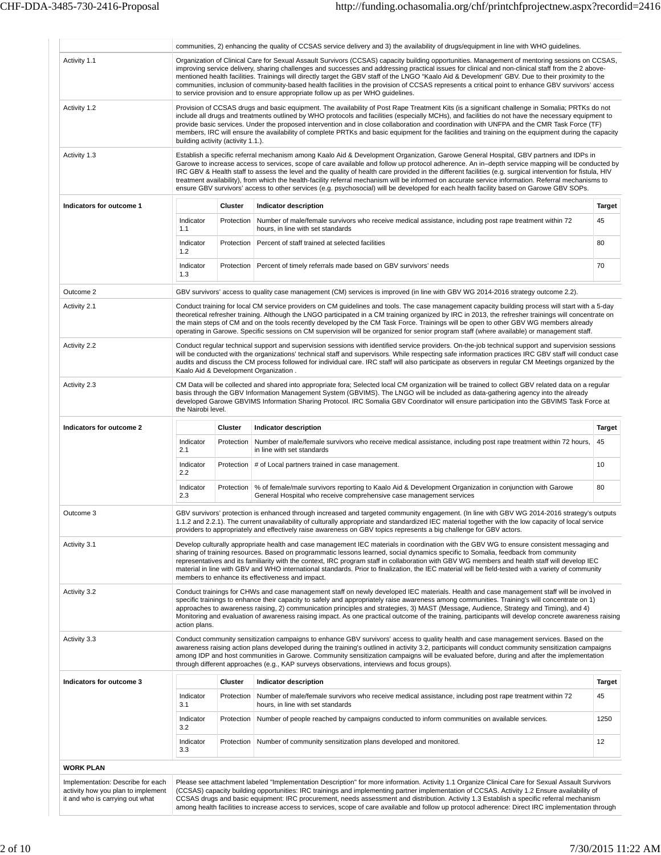|                                                                                                            |                                    |                   | communities, 2) enhancing the quality of CCSAS service delivery and 3) the availability of drugs/equipment in line with WHO guidelines.                                                                                                                                                                                                                                                                                                                                                                                                                                                                                                                                                                                                                     |               |
|------------------------------------------------------------------------------------------------------------|------------------------------------|-------------------|-------------------------------------------------------------------------------------------------------------------------------------------------------------------------------------------------------------------------------------------------------------------------------------------------------------------------------------------------------------------------------------------------------------------------------------------------------------------------------------------------------------------------------------------------------------------------------------------------------------------------------------------------------------------------------------------------------------------------------------------------------------|---------------|
| Activity 1.1                                                                                               |                                    |                   | Organization of Clinical Care for Sexual Assault Survivors (CCSAS) capacity building opportunities. Management of mentoring sessions on CCSAS,<br>improving service delivery, sharing challenges and successes and addressing practical issues for clinical and non-clinical staff from the 2 above-<br>mentioned health facilities. Trainings will directly target the GBV staff of the LNGO "Kaalo Aid & Development' GBV. Due to their proximity to the<br>communities, inclusion of community-based health facilities in the provision of CCSAS represents a critical point to enhance GBV survivors' access<br>to service provision and to ensure appropriate follow up as per WHO guidelines.                                                         |               |
| Activity 1.2                                                                                               | building activity (activity 1.1.). |                   | Provision of CCSAS drugs and basic equipment. The availability of Post Rape Treatment Kits (is a significant challenge in Somalia; PRTKs do not<br>include all drugs and treatments outlined by WHO protocols and facilities (especially MCHs), and facilities do not have the necessary equipment to<br>provide basic services. Under the proposed intervention and in close collaboration and coordination with UNFPA and the CMR Task Force (TF)<br>members, IRC will ensure the availability of complete PRTKs and basic equipment for the facilities and training on the equipment during the capacity                                                                                                                                                 |               |
| Activity 1.3                                                                                               |                                    |                   | Establish a specific referral mechanism among Kaalo Aid & Development Organization, Garowe General Hospital, GBV partners and IDPs in<br>Garowe to increase access to services, scope of care available and follow up protocol adherence. An in-depth service mapping will be conducted by<br>IRC GBV & Health staff to assess the level and the quality of health care provided in the different facilities (e.g. surgical intervention for fistula, HIV<br>treatment availability), from which the health-facility referral mechanism will be informed on accurate service information. Referral mechanisms to<br>ensure GBV survivors' access to other services (e.g. psychosocial) will be developed for each health facility based on Garowe GBV SOPs. |               |
| Indicators for outcome 1                                                                                   |                                    | Cluster           | Indicator description                                                                                                                                                                                                                                                                                                                                                                                                                                                                                                                                                                                                                                                                                                                                       | <b>Target</b> |
|                                                                                                            | Indicator<br>1.1                   | Protection        | Number of male/female survivors who receive medical assistance, including post rape treatment within 72<br>hours, in line with set standards                                                                                                                                                                                                                                                                                                                                                                                                                                                                                                                                                                                                                | 45            |
|                                                                                                            | Indicator<br>1.2                   | Protection        | Percent of staff trained at selected facilities                                                                                                                                                                                                                                                                                                                                                                                                                                                                                                                                                                                                                                                                                                             | 80            |
|                                                                                                            | Indicator<br>1.3                   |                   | Protection   Percent of timely referrals made based on GBV survivors' needs                                                                                                                                                                                                                                                                                                                                                                                                                                                                                                                                                                                                                                                                                 | 70            |
| Outcome 2                                                                                                  |                                    |                   | GBV survivors' access to quality case management (CM) services is improved (in line with GBV WG 2014-2016 strategy outcome 2.2).                                                                                                                                                                                                                                                                                                                                                                                                                                                                                                                                                                                                                            |               |
| Activity 2.1                                                                                               |                                    |                   | Conduct training for local CM service providers on CM guidelines and tools. The case management capacity building process will start with a 5-day<br>theoretical refresher training. Although the LNGO participated in a CM training organized by IRC in 2013, the refresher trainings will concentrate on<br>the main steps of CM and on the tools recently developed by the CM Task Force. Trainings will be open to other GBV WG members already<br>operating in Garowe. Specific sessions on CM supervision will be organized for senior program staff (where available) or management staff.                                                                                                                                                           |               |
| Activity 2.2                                                                                               |                                    |                   | Conduct regular technical support and supervision sessions with identified service providers. On-the-job technical support and supervision sessions<br>will be conducted with the organizations' technical staff and supervisors. While respecting safe information practices IRC GBV staff will conduct case<br>audits and discuss the CM process followed for individual care. IRC staff will also participate as observers in regular CM Meetings organized by the<br>Kaalo Aid & Development Organization.                                                                                                                                                                                                                                              |               |
| Activity 2.3                                                                                               | the Nairobi level.                 |                   | CM Data will be collected and shared into appropriate fora; Selected local CM organization will be trained to collect GBV related data on a regular<br>basis through the GBV Information Management System (GBVIMS). The LNGO will be included as data-gathering agency into the already<br>developed Garowe GBVIMS Information Sharing Protocol. IRC Somalia GBV Coordinator will ensure participation into the GBVIMS Task Force at                                                                                                                                                                                                                                                                                                                       |               |
| Indicators for outcome 2                                                                                   |                                    | Cluster           | Indicator description                                                                                                                                                                                                                                                                                                                                                                                                                                                                                                                                                                                                                                                                                                                                       | <b>Target</b> |
|                                                                                                            | Indicator<br>2.1                   | Protection        | Number of male/female survivors who receive medical assistance, including post rape treatment within 72 hours,<br>in line with set standards                                                                                                                                                                                                                                                                                                                                                                                                                                                                                                                                                                                                                | 45            |
|                                                                                                            | Indicator<br>2.2                   |                   | Protection # of Local partners trained in case management.                                                                                                                                                                                                                                                                                                                                                                                                                                                                                                                                                                                                                                                                                                  | 10            |
|                                                                                                            | Indicator<br>2.3                   | <b>Protection</b> | % of female/male survivors reporting to Kaalo Aid & Development Organization in conjunction with Garowe<br>General Hospital who receive comprehensive case management services                                                                                                                                                                                                                                                                                                                                                                                                                                                                                                                                                                              | 80            |
| Outcome 3                                                                                                  |                                    |                   | GBV survivors' protection is enhanced through increased and targeted community engagement. (In line with GBV WG 2014-2016 strategy's outputs<br>1.1.2 and 2.2.1). The current unavailability of culturally appropriate and standardized IEC material together with the low capacity of local service<br>providers to appropriately and effectively raise awareness on GBV topics represents a big challenge for GBV actors.                                                                                                                                                                                                                                                                                                                                 |               |
| Activity 3.1                                                                                               |                                    |                   | Develop culturally appropriate health and case management IEC materials in coordination with the GBV WG to ensure consistent messaging and<br>sharing of training resources. Based on programmatic lessons learned, social dynamics specific to Somalia, feedback from community<br>representatives and its familiarity with the context, IRC program staff in collaboration with GBV WG members and health staff will develop IEC<br>material in line with GBV and WHO international standards. Prior to finalization, the IEC material will be field-tested with a variety of community<br>members to enhance its effectiveness and impact.                                                                                                               |               |
| Activity 3.2                                                                                               | action plans.                      |                   | Conduct trainings for CHWs and case management staff on newly developed IEC materials. Health and case management staff will be involved in<br>specific trainings to enhance their capacity to safely and appropriately raise awareness among communities. Training's will concentrate on 1)<br>approaches to awareness raising, 2) communication principles and strategies, 3) MAST (Message, Audience, Strategy and Timing), and 4)<br>Monitoring and evaluation of awareness raising impact. As one practical outcome of the training, participants will develop concrete awareness raising                                                                                                                                                              |               |
| Activity 3.3                                                                                               |                                    |                   | Conduct community sensitization campaigns to enhance GBV survivors' access to quality health and case management services. Based on the<br>awareness raising action plans developed during the training's outlined in activity 3.2, participants will conduct community sensitization campaigns<br>among IDP and host communities in Garowe. Community sensitization campaigns will be evaluated before, during and after the implementation<br>through different approaches (e.g., KAP surveys observations, interviews and focus groups).                                                                                                                                                                                                                 |               |
| Indicators for outcome 3                                                                                   |                                    | <b>Cluster</b>    | Indicator description                                                                                                                                                                                                                                                                                                                                                                                                                                                                                                                                                                                                                                                                                                                                       | <b>Target</b> |
|                                                                                                            | Indicator<br>3.1                   | Protection        | Number of male/female survivors who receive medical assistance, including post rape treatment within 72<br>hours, in line with set standards                                                                                                                                                                                                                                                                                                                                                                                                                                                                                                                                                                                                                | 45            |
|                                                                                                            | Indicator<br>3.2                   | <b>Protection</b> | Number of people reached by campaigns conducted to inform communities on available services.                                                                                                                                                                                                                                                                                                                                                                                                                                                                                                                                                                                                                                                                | 1250          |
|                                                                                                            | Indicator<br>3.3                   | Protection        | Number of community sensitization plans developed and monitored.                                                                                                                                                                                                                                                                                                                                                                                                                                                                                                                                                                                                                                                                                            | 12            |
| <b>WORK PLAN</b>                                                                                           |                                    |                   |                                                                                                                                                                                                                                                                                                                                                                                                                                                                                                                                                                                                                                                                                                                                                             |               |
| Implementation: Describe for each<br>activity how you plan to implement<br>it and who is carrying out what |                                    |                   | Please see attachment labeled "Implementation Description" for more information. Activity 1.1 Organize Clinical Care for Sexual Assault Survivors<br>(CCSAS) capacity building opportunities: IRC trainings and implementing partner implementation of CCSAS. Activity 1.2 Ensure availability of<br>CCSAS drugs and basic equipment: IRC procurement, needs assessment and distribution. Activity 1.3 Establish a specific referral mechanism<br>among health facilities to increase access to services, scope of care available and follow up protocol adherence: Direct IRC implementation through                                                                                                                                                       |               |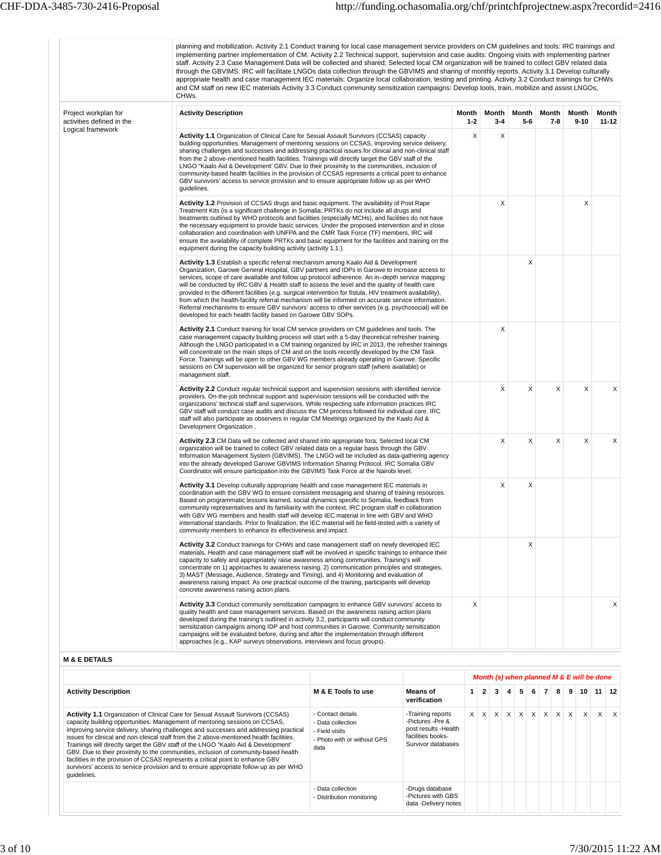|                                                   | planning and mobilization. Activity 2.1 Conduct training for local case management service providers on CM guidelines and tools: IRC trainings and<br>implementing partner implementation of CM. Activity 2.2 Technical support, supervision and case audits: Ongoing visits with implementing partner<br>staff. Activity 2.3 Case Management Data will be collected and shared; Selected local CM organization will be trained to collect GBV related data<br>through the GBVIMS: IRC will facilitate LNGOs data collection through the GBVIMS and sharing of monthly reports. Activity 3.1 Develop culturally<br>appropriate health and case management IEC materials: Organize local collaboration, testing and printing. Activity 3.2 Conduct trainings for CHWs<br>and CM staff on new IEC materials Activity 3.3 Conduct community sensitization campaigns: Develop tools, train, mobilize and assist LNGOs,<br>CHWs. |                  |                  |                |              |                   |                    |
|---------------------------------------------------|-----------------------------------------------------------------------------------------------------------------------------------------------------------------------------------------------------------------------------------------------------------------------------------------------------------------------------------------------------------------------------------------------------------------------------------------------------------------------------------------------------------------------------------------------------------------------------------------------------------------------------------------------------------------------------------------------------------------------------------------------------------------------------------------------------------------------------------------------------------------------------------------------------------------------------|------------------|------------------|----------------|--------------|-------------------|--------------------|
| Project workplan for<br>activities defined in the | <b>Activity Description</b>                                                                                                                                                                                                                                                                                                                                                                                                                                                                                                                                                                                                                                                                                                                                                                                                                                                                                                 | Month<br>$1 - 2$ | Month<br>$3 - 4$ | Month<br>$5-6$ | Month<br>7-8 | Month<br>$9 - 10$ | Month<br>$11 - 12$ |
| Logical framework                                 | Activity 1.1 Organization of Clinical Care for Sexual Assault Survivors (CCSAS) capacity<br>building opportunities. Management of mentoring sessions on CCSAS, improving service delivery,<br>sharing challenges and successes and addressing practical issues for clinical and non-clinical staff<br>from the 2 above-mentioned health facilities. Trainings will directly target the GBV staff of the<br>LNGO "Kaalo Aid & Development" GBV. Due to their proximity to the communities, inclusion of<br>community-based health facilities in the provision of CCSAS represents a critical point to enhance<br>GBV survivors' access to service provision and to ensure appropriate follow up as per WHO<br>guidelines.                                                                                                                                                                                                    | X                | Χ                |                |              |                   |                    |
|                                                   | Activity 1.2 Provision of CCSAS drugs and basic equipment. The availability of Post Rape<br>Treatment Kits (is a significant challenge in Somalia; PRTKs do not include all drugs and<br>treatments outlined by WHO protocols and facilities (especially MCHs), and facilities do not have<br>the necessary equipment to provide basic services. Under the proposed intervention and in close<br>collaboration and coordination with UNFPA and the CMR Task Force (TF) members, IRC will<br>ensure the availability of complete PRTKs and basic equipment for the facilities and training on the<br>equipment during the capacity building activity (activity 1.1.).                                                                                                                                                                                                                                                        |                  | Х                |                |              | х                 |                    |
|                                                   | Activity 1.3 Establish a specific referral mechanism among Kaalo Aid & Development<br>Organization, Garowe General Hospital, GBV partners and IDPs in Garowe to increase access to<br>services, scope of care available and follow up protocol adherence. An in-depth service mapping<br>will be conducted by IRC GBV & Health staff to assess the level and the quality of health care<br>provided in the different facilities (e.g. surgical intervention for fistula, HIV treatment availability),<br>from which the health-facility referral mechanism will be informed on accurate service information.<br>Referral mechanisms to ensure GBV survivors' access to other services (e.g. psychosocial) will be<br>developed for each health facility based on Garowe GBV SOPs.                                                                                                                                           |                  |                  | Χ              |              |                   |                    |
|                                                   | <b>Activity 2.1</b> Conduct training for local CM service providers on CM guidelines and tools. The<br>case management capacity building process will start with a 5-day theoretical refresher training.<br>Although the LNGO participated in a CM training organized by IRC in 2013, the refresher trainings<br>will concentrate on the main steps of CM and on the tools recently developed by the CM Task<br>Force. Trainings will be open to other GBV WG members already operating in Garowe. Specific<br>sessions on CM supervision will be organized for senior program staff (where available) or<br>management staff.                                                                                                                                                                                                                                                                                              |                  | X                |                |              |                   |                    |
|                                                   | Activity 2.2 Conduct regular technical support and supervision sessions with identified service<br>providers. On-the-job technical support and supervision sessions will be conducted with the<br>organizations' technical staff and supervisors. While respecting safe information practices IRC<br>GBV staff will conduct case audits and discuss the CM process followed for individual care. IRC<br>staff will also participate as observers in regular CM Meetings organized by the Kaalo Aid &<br>Development Organization.                                                                                                                                                                                                                                                                                                                                                                                           |                  | Χ                | X              | Х            | Х                 | Χ                  |
|                                                   | Activity 2.3 CM Data will be collected and shared into appropriate fora; Selected local CM<br>organization will be trained to collect GBV related data on a regular basis through the GBV<br>Information Management System (GBVIMS). The LNGO will be included as data-gathering agency<br>into the already developed Garowe GBVIMS Information Sharing Protocol. IRC Somalia GBV<br>Coordinator will ensure participation into the GBVIMS Task Force at the Nairobi level.                                                                                                                                                                                                                                                                                                                                                                                                                                                 |                  | X                | X              | X            | X                 | Χ                  |
|                                                   | <b>Activity 3.1</b> Develop culturally appropriate health and case management IEC materials in<br>coordination with the GBV WG to ensure consistent messaging and sharing of training resources.<br>Based on programmatic lessons learned, social dynamics specific to Somalia, feedback from<br>community representatives and its familiarity with the context, IRC program staff in collaboration<br>with GBV WG members and health staff will develop IEC material in line with GBV and WHO<br>international standards. Prior to finalization, the IEC material will be field-tested with a variety of<br>community members to enhance its effectiveness and impact.                                                                                                                                                                                                                                                     |                  | X                | $\pmb{\times}$ |              |                   |                    |
|                                                   | Activity 3.2 Conduct trainings for CHWs and case management staff on newly developed IEC<br>materials. Health and case management staff will be involved in specific trainings to enhance their<br>capacity to safely and appropriately raise awareness among communities. Training's will<br>concentrate on 1) approaches to awareness raising, 2) communication principles and strategies,<br>3) MAST (Message, Audience, Strategy and Timing), and 4) Monitoring and evaluation of<br>awareness raising impact. As one practical outcome of the training, participants will develop<br>concrete awareness raising action plans.                                                                                                                                                                                                                                                                                          |                  |                  | X              |              |                   |                    |
|                                                   | Activity 3.3 Conduct community sensitization campaigns to enhance GBV survivors' access to<br>quality health and case management services. Based on the awareness raising action plans<br>developed during the training's outlined in activity 3.2, participants will conduct community<br>sensitization campaigns among IDP and host communities in Garowe. Community sensitization<br>campaigns will be evaluated before, during and after the implementation through different<br>approaches (e.g., KAP surveys observations, interviews and focus groups).                                                                                                                                                                                                                                                                                                                                                              | X                |                  |                |              |                   | Χ                  |

|                                                                                                                                                                                                                                                                                                                                                                                                                                                                                                                                                                                                                                                                                                                                    |                                                                                                 |                                                                                                          |  |  |  |                                       |    |                 | Month (s) when planned M & E will be done |                 |
|------------------------------------------------------------------------------------------------------------------------------------------------------------------------------------------------------------------------------------------------------------------------------------------------------------------------------------------------------------------------------------------------------------------------------------------------------------------------------------------------------------------------------------------------------------------------------------------------------------------------------------------------------------------------------------------------------------------------------------|-------------------------------------------------------------------------------------------------|----------------------------------------------------------------------------------------------------------|--|--|--|---------------------------------------|----|-----------------|-------------------------------------------|-----------------|
| <b>Activity Description</b>                                                                                                                                                                                                                                                                                                                                                                                                                                                                                                                                                                                                                                                                                                        | M & E Tools to use                                                                              | Means of<br>verification                                                                                 |  |  |  | $2$ 3 4 5 6 7 8                       | -9 | 10 <sup>1</sup> |                                           | $11$ 12         |
| <b>Activity 1.1 Organization of Clinical Care for Sexual Assault Survivors (CCSAS)</b><br>capacity building opportunities. Management of mentoring sessions on CCSAS,<br>improving service delivery, sharing challenges and successes and addressing practical<br>issues for clinical and non-clinical staff from the 2 above-mentioned health facilities.<br>Trainings will directly target the GBV staff of the LNGO "Kaalo Aid & Development"<br>GBV. Due to their proximity to the communities, inclusion of community-based health<br>facilities in the provision of CCSAS represents a critical point to enhance GBV<br>survivors' access to service provision and to ensure appropriate follow up as per WHO<br>quidelines. | - Contact details<br>- Data collection<br>- Field visits<br>- Photo with or without GPS<br>data | -Training reports<br>-Pictures -Pre &<br>post results -Health<br>facilities books-<br>Survivor databases |  |  |  | x   x   x   x   x   x   x   x   x   x |    | $\times$        |                                           | $x \mid x \mid$ |
|                                                                                                                                                                                                                                                                                                                                                                                                                                                                                                                                                                                                                                                                                                                                    | - Data collection<br>- Distribution monitoring                                                  | -Drugs database<br>-Pictures with GBS<br>data -Delivery notes                                            |  |  |  |                                       |    |                 |                                           |                 |

÷

T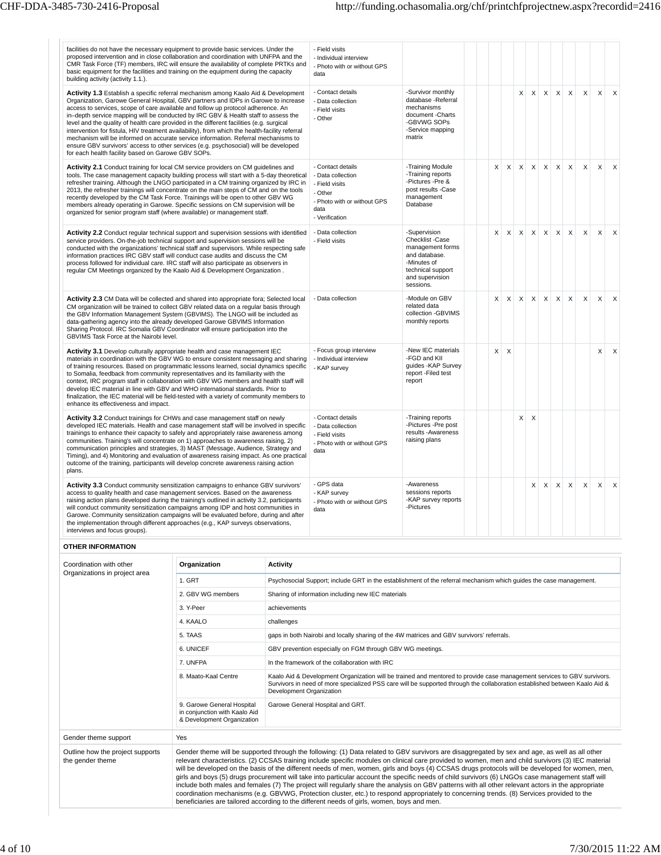| facilities do not have the necessary equipment to provide basic services. Under the<br>proposed intervention and in close collaboration and coordination with UNFPA and the<br>CMR Task Force (TF) members, IRC will ensure the availability of complete PRTKs and<br>basic equipment for the facilities and training on the equipment during the capacity<br>building activity (activity 1.1.).                                                                                                                                                                                                                                                                                                                                                                                     |                   |                                                    | - Field visits<br>- Individual interview<br>- Photo with or without GPS<br>data                                              |                                                                                                                                          |          |          |          |                           |                           |              |                           |          |          |              |
|--------------------------------------------------------------------------------------------------------------------------------------------------------------------------------------------------------------------------------------------------------------------------------------------------------------------------------------------------------------------------------------------------------------------------------------------------------------------------------------------------------------------------------------------------------------------------------------------------------------------------------------------------------------------------------------------------------------------------------------------------------------------------------------|-------------------|----------------------------------------------------|------------------------------------------------------------------------------------------------------------------------------|------------------------------------------------------------------------------------------------------------------------------------------|----------|----------|----------|---------------------------|---------------------------|--------------|---------------------------|----------|----------|--------------|
| Activity 1.3 Establish a specific referral mechanism among Kaalo Aid & Development<br>Organization, Garowe General Hospital, GBV partners and IDPs in Garowe to increase<br>access to services, scope of care available and follow up protocol adherence. An<br>in-depth service mapping will be conducted by IRC GBV & Health staff to assess the<br>level and the quality of health care provided in the different facilities (e.g. surgical<br>intervention for fistula, HIV treatment availability), from which the health-facility referral<br>mechanism will be informed on accurate service information. Referral mechanisms to<br>ensure GBV survivors' access to other services (e.g. psychosocial) will be developed<br>for each health facility based on Garowe GBV SOPs. |                   |                                                    | - Contact details<br>- Data collection<br>- Field visits<br>- Other                                                          | -Survivor monthly<br>database -Referral<br>mechanisms<br>document - Charts<br>-GBVWG SOPs<br>-Service mapping<br>matrix                  |          |          | X        | $\mathsf{X}$              | X                         | $\times$     | $\boldsymbol{\mathsf{X}}$ | X        | X        | $\mathsf{X}$ |
| Activity 2.1 Conduct training for local CM service providers on CM guidelines and<br>tools. The case management capacity building process will start with a 5-day theoretical<br>refresher training. Although the LNGO participated in a CM training organized by IRC in<br>2013, the refresher trainings will concentrate on the main steps of CM and on the tools<br>recently developed by the CM Task Force. Trainings will be open to other GBV WG<br>members already operating in Garowe. Specific sessions on CM supervision will be<br>organized for senior program staff (where available) or management staff.                                                                                                                                                              |                   |                                                    | - Contact details<br>- Data collection<br>- Field visits<br>- Other<br>- Photo with or without GPS<br>data<br>- Verification | -Training Module<br>-Training reports<br>-Pictures -Pre &<br>post results -Case<br>management<br>Database                                | X        | $\times$ | $\times$ | $\times$                  | $\mathsf{X}$              | $\mathsf{X}$ | $\times$                  | $\times$ | $\times$ | $\times$     |
| Activity 2.2 Conduct regular technical support and supervision sessions with identified<br>service providers. On-the-job technical support and supervision sessions will be<br>conducted with the organizations' technical staff and supervisors. While respecting safe<br>information practices IRC GBV staff will conduct case audits and discuss the CM<br>process followed for individual care. IRC staff will also participate as observers in<br>regular CM Meetings organized by the Kaalo Aid & Development Organization.                                                                                                                                                                                                                                                    |                   |                                                    | - Data collection<br>- Field visits                                                                                          | -Supervision<br>Checklist -Case<br>management forms<br>and database.<br>-Minutes of<br>technical support<br>and supervision<br>sessions. | $\times$ |          | $X$ $X$  |                           |                           | $X$ $X$ $X$  | $\times$                  | $\times$ | $\times$ | $\times$     |
| Activity 2.3 CM Data will be collected and shared into appropriate fora; Selected local<br>CM organization will be trained to collect GBV related data on a regular basis through<br>the GBV Information Management System (GBVIMS). The LNGO will be included as<br>data-gathering agency into the already developed Garowe GBVIMS Information<br>Sharing Protocol. IRC Somalia GBV Coordinator will ensure participation into the<br>GBVIMS Task Force at the Nairobi level.                                                                                                                                                                                                                                                                                                       |                   |                                                    | - Data collection                                                                                                            | -Module on GBV<br>related data<br>collection -GBVIMS<br>monthly reports                                                                  | X        | $\times$ | $\times$ | $\boldsymbol{\mathsf{X}}$ | $\boldsymbol{\mathsf{X}}$ | $\times$     | $\mathsf X$               | X        | X        | $\times$     |
| Activity 3.1 Develop culturally appropriate health and case management IEC<br>materials in coordination with the GBV WG to ensure consistent messaging and sharing<br>of training resources. Based on programmatic lessons learned, social dynamics specific<br>to Somalia, feedback from community representatives and its familiarity with the<br>context, IRC program staff in collaboration with GBV WG members and health staff will<br>develop IEC material in line with GBV and WHO international standards. Prior to<br>finalization, the IEC material will be field-tested with a variety of community members to<br>enhance its effectiveness and impact.                                                                                                                  |                   |                                                    | - Focus group interview<br>- Individual interview<br>- KAP survey                                                            | -New IEC materials<br>-FGD and KII<br>guides - KAP Survey<br>report -Filed test<br>report                                                | X        | $\times$ |          |                           |                           |              |                           |          | X        | X            |
| Activity 3.2 Conduct trainings for CHWs and case management staff on newly<br>developed IEC materials. Health and case management staff will be involved in specific<br>trainings to enhance their capacity to safely and appropriately raise awareness among<br>communities. Training's will concentrate on 1) approaches to awareness raising, 2)<br>communication principles and strategies, 3) MAST (Message, Audience, Strategy and<br>Timing), and 4) Monitoring and evaluation of awareness raising impact. As one practical<br>outcome of the training, participants will develop concrete awareness raising action<br>plans.                                                                                                                                                |                   |                                                    | - Contact details<br>- Data collection<br>- Field visits<br>- Photo with or without GPS<br>data                              | -Training reports<br>-Pictures -Pre post<br>results - Awareness<br>raising plans                                                         |          |          | X        | X                         |                           |              |                           |          |          |              |
| Activity 3.3 Conduct community sensitization campaigns to enhance GBV survivors'<br>access to quality health and case management services. Based on the awareness<br>raising action plans developed during the training's outlined in activity 3.2, participants<br>will conduct community sensitization campaigns among IDP and host communities in<br>Garowe. Community sensitization campaigns will be evaluated before, during and after<br>the implementation through different approaches (e.g., KAP surveys observations,<br>interviews and focus groups).                                                                                                                                                                                                                    |                   |                                                    | - GPS data<br>- KAP survey<br>- Photo with or without GPS<br>data                                                            | -Awareness<br>sessions reports<br>-KAP survey reports<br>-Pictures                                                                       |          |          |          | X                         | X                         | $\mathsf{X}$ | $\times$                  | $\times$ | $\times$ | $\mathsf{x}$ |
| <b>OTHER INFORMATION</b>                                                                                                                                                                                                                                                                                                                                                                                                                                                                                                                                                                                                                                                                                                                                                             |                   |                                                    |                                                                                                                              |                                                                                                                                          |          |          |          |                           |                           |              |                           |          |          |              |
| Coordination with other                                                                                                                                                                                                                                                                                                                                                                                                                                                                                                                                                                                                                                                                                                                                                              | Organization      | <b>Activity</b>                                    |                                                                                                                              |                                                                                                                                          |          |          |          |                           |                           |              |                           |          |          |              |
| Organizations in project area                                                                                                                                                                                                                                                                                                                                                                                                                                                                                                                                                                                                                                                                                                                                                        | 1. GRT            |                                                    | Psychosocial Support; include GRT in the establishment of the referral mechanism which guides the case management.           |                                                                                                                                          |          |          |          |                           |                           |              |                           |          |          |              |
|                                                                                                                                                                                                                                                                                                                                                                                                                                                                                                                                                                                                                                                                                                                                                                                      | 2. GBV WG members | Sharing of information including new IEC materials |                                                                                                                              |                                                                                                                                          |          |          |          |                           |                           |              |                           |          |          |              |
|                                                                                                                                                                                                                                                                                                                                                                                                                                                                                                                                                                                                                                                                                                                                                                                      | 3. Y-Peer         |                                                    |                                                                                                                              |                                                                                                                                          |          |          |          |                           |                           |              |                           |          |          |              |

|                                                      | 4. KAALO                                                                                  | challenges                                                                                                                                                                                                                                                                                                                                                                                                                                                                                                                                                                                                                                                                                                                                                                                                                                                                                                                                                                                                     |
|------------------------------------------------------|-------------------------------------------------------------------------------------------|----------------------------------------------------------------------------------------------------------------------------------------------------------------------------------------------------------------------------------------------------------------------------------------------------------------------------------------------------------------------------------------------------------------------------------------------------------------------------------------------------------------------------------------------------------------------------------------------------------------------------------------------------------------------------------------------------------------------------------------------------------------------------------------------------------------------------------------------------------------------------------------------------------------------------------------------------------------------------------------------------------------|
|                                                      | 5. TAAS                                                                                   | gaps in both Nairobi and locally sharing of the 4W matrices and GBV survivors' referrals.                                                                                                                                                                                                                                                                                                                                                                                                                                                                                                                                                                                                                                                                                                                                                                                                                                                                                                                      |
|                                                      | 6. UNICEF                                                                                 | GBV prevention especially on FGM through GBV WG meetings.                                                                                                                                                                                                                                                                                                                                                                                                                                                                                                                                                                                                                                                                                                                                                                                                                                                                                                                                                      |
|                                                      | 7. UNFPA                                                                                  | In the framework of the collaboration with IRC                                                                                                                                                                                                                                                                                                                                                                                                                                                                                                                                                                                                                                                                                                                                                                                                                                                                                                                                                                 |
|                                                      | 8. Maato-Kaal Centre                                                                      | Kaalo Aid & Development Organization will be trained and mentored to provide case management services to GBV survivors.<br>Survivors in need of more specialized PSS care will be supported through the collaboration established between Kaalo Aid &<br>Development Organization                                                                                                                                                                                                                                                                                                                                                                                                                                                                                                                                                                                                                                                                                                                              |
|                                                      | 9. Garowe General Hospital<br>in conjunction with Kaalo Aid<br>& Development Organization | Garowe General Hospital and GRT.                                                                                                                                                                                                                                                                                                                                                                                                                                                                                                                                                                                                                                                                                                                                                                                                                                                                                                                                                                               |
| Gender theme support                                 | Yes                                                                                       |                                                                                                                                                                                                                                                                                                                                                                                                                                                                                                                                                                                                                                                                                                                                                                                                                                                                                                                                                                                                                |
| Outline how the project supports<br>the gender theme |                                                                                           | Gender theme will be supported through the following: (1) Data related to GBV survivors are disaggregated by sex and age, as well as all other<br>relevant characteristics. (2) CCSAS training include specific modules on clinical care provided to women, men and child survivors (3) IEC material<br>will be developed on the basis of the different needs of men, women, girls and boys (4) CCSAS drugs protocols will be developed for women, men,<br>girls and boys (5) drugs procurement will take into particular account the specific needs of child survivors (6) LNGOs case management staff will<br>include both males and females (7) The project will regularly share the analysis on GBV patterns with all other relevant actors in the appropriate<br>coordination mechanisms (e.g. GBVWG, Protection cluster, etc.) to respond appropriately to concerning trends. (8) Services provided to the<br>beneficiaries are tailored according to the different needs of girls, women, boys and men. |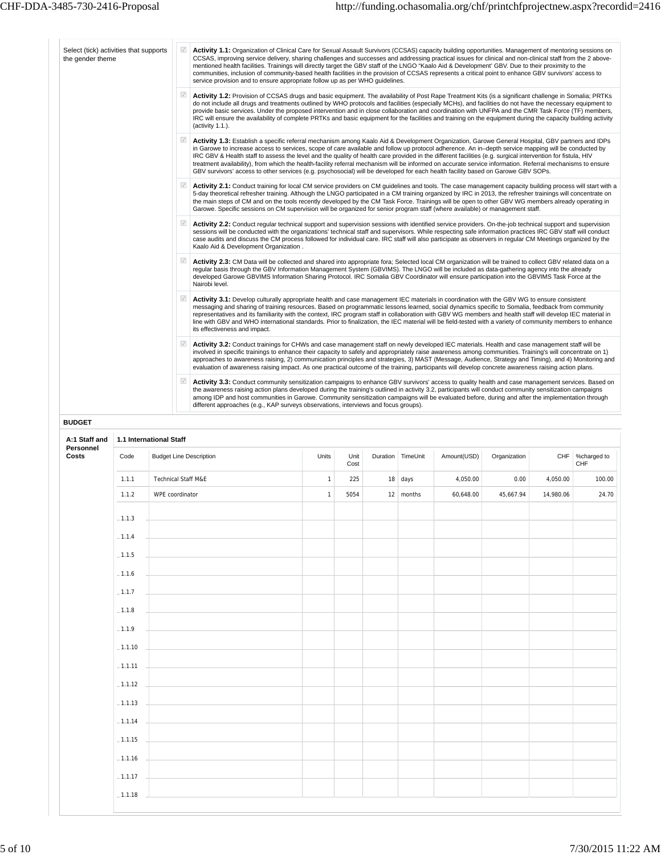| ☑<br>Activity 1.2: Provision of CCSAS drugs and basic equipment. The availability of Post Rape Treatment Kits (is a significant challenge in Somalia; PRTKs<br>do not include all drugs and treatments outlined by WHO protocols and facilities (especially MCHs), and facilities do not have the necessary equipment to<br>provide basic services. Under the proposed intervention and in close collaboration and coordination with UNFPA and the CMR Task Force (TF) members,<br>IRC will ensure the availability of complete PRTKs and basic equipment for the facilities and training on the equipment during the capacity building activity<br>(activity 1.1.).<br>$\overline{\mathcal{A}}$<br>Activity 1.3: Establish a specific referral mechanism among Kaalo Aid & Development Organization, Garowe General Hospital, GBV partners and IDPs |  |  |  |  |  |  |  |  |  |  |  |
|------------------------------------------------------------------------------------------------------------------------------------------------------------------------------------------------------------------------------------------------------------------------------------------------------------------------------------------------------------------------------------------------------------------------------------------------------------------------------------------------------------------------------------------------------------------------------------------------------------------------------------------------------------------------------------------------------------------------------------------------------------------------------------------------------------------------------------------------------|--|--|--|--|--|--|--|--|--|--|--|
| in Garowe to increase access to services, scope of care available and follow up protocol adherence. An in-depth service mapping will be conducted by<br>IRC GBV & Health staff to assess the level and the quality of health care provided in the different facilities (e.g. surgical intervention for fistula, HIV<br>treatment availability), from which the health-facility referral mechanism will be informed on accurate service information. Referral mechanisms to ensure                                                                                                                                                                                                                                                                                                                                                                    |  |  |  |  |  |  |  |  |  |  |  |
| Activity 2.1: Conduct training for local CM service providers on CM guidelines and tools. The case management capacity building process will start with a<br>5-day theoretical refresher training. Although the LNGO participated in a CM training organized by IRC in 2013, the refresher trainings will concentrate on<br>the main steps of CM and on the tools recently developed by the CM Task Force. Trainings will be open to other GBV WG members already operating in                                                                                                                                                                                                                                                                                                                                                                       |  |  |  |  |  |  |  |  |  |  |  |
| Garowe. Specific sessions on CM supervision will be organized for senior program staff (where available) or management staff.<br>Activity 2.2: Conduct regular technical support and supervision sessions with identified service providers. On-the-job technical support and supervision<br>sessions will be conducted with the organizations' technical staff and supervisors. While respecting safe information practices IRC GBV staff will conduct<br>case audits and discuss the CM process followed for individual care. IRC staff will also participate as observers in regular CM Meetings organized by the<br>Kaalo Aid & Development Organization.                                                                                                                                                                                        |  |  |  |  |  |  |  |  |  |  |  |
| Activity 2.3: CM Data will be collected and shared into appropriate fora; Selected local CM organization will be trained to collect GBV related data on a<br>reqular basis through the GBV Information Management System (GBVIMS). The LNGO will be included as data-gathering agency into the already<br>developed Garowe GBVIMS Information Sharing Protocol. IRC Somalia GBV Coordinator will ensure participation into the GBVIMS Task Force at the                                                                                                                                                                                                                                                                                                                                                                                              |  |  |  |  |  |  |  |  |  |  |  |
| Activity 3.1: Develop culturally appropriate health and case management IEC materials in coordination with the GBV WG to ensure consistent<br>messaging and sharing of training resources. Based on programmatic lessons learned, social dynamics specific to Somalia, feedback from community<br>representatives and its familiarity with the context, IRC program staff in collaboration with GBV WG members and health staff will develop IEC material in<br>line with GBV and WHO international standards. Prior to finalization, the IEC material will be field-tested with a variety of community members to enhance                                                                                                                                                                                                                           |  |  |  |  |  |  |  |  |  |  |  |
| its effectiveness and impact.<br>$\sqrt{ }$<br>Activity 3.2: Conduct trainings for CHWs and case management staff on newly developed IEC materials. Health and case management staff will be<br>involved in specific trainings to enhance their capacity to safely and appropriately raise awareness among communities. Training's will concentrate on 1)<br>approaches to awareness raising, 2) communication principles and strategies, 3) MAST (Message, Audience, Strategy and Timing), and 4) Monitoring and<br>evaluation of awareness raising impact. As one practical outcome of the training, participants will develop concrete awareness raising action plans.                                                                                                                                                                            |  |  |  |  |  |  |  |  |  |  |  |
| Activity 3.3: Conduct community sensitization campaigns to enhance GBV survivors' access to quality health and case management services. Based on<br>the awareness raising action plans developed during the training's outlined in activity 3.2, participants will conduct community sensitization campaigns<br>among IDP and host communities in Garowe. Community sensitization campaigns will be evaluated before, during and after the implementation through                                                                                                                                                                                                                                                                                                                                                                                   |  |  |  |  |  |  |  |  |  |  |  |
|                                                                                                                                                                                                                                                                                                                                                                                                                                                                                                                                                                                                                                                                                                                                                                                                                                                      |  |  |  |  |  |  |  |  |  |  |  |
|                                                                                                                                                                                                                                                                                                                                                                                                                                                                                                                                                                                                                                                                                                                                                                                                                                                      |  |  |  |  |  |  |  |  |  |  |  |
| <b>CHF</b><br>%charged to<br><b>CHF</b>                                                                                                                                                                                                                                                                                                                                                                                                                                                                                                                                                                                                                                                                                                                                                                                                              |  |  |  |  |  |  |  |  |  |  |  |
| 4,050.00<br>100.00                                                                                                                                                                                                                                                                                                                                                                                                                                                                                                                                                                                                                                                                                                                                                                                                                                   |  |  |  |  |  |  |  |  |  |  |  |
|                                                                                                                                                                                                                                                                                                                                                                                                                                                                                                                                                                                                                                                                                                                                                                                                                                                      |  |  |  |  |  |  |  |  |  |  |  |
| 14,980.06<br>24.70                                                                                                                                                                                                                                                                                                                                                                                                                                                                                                                                                                                                                                                                                                                                                                                                                                   |  |  |  |  |  |  |  |  |  |  |  |
|                                                                                                                                                                                                                                                                                                                                                                                                                                                                                                                                                                                                                                                                                                                                                                                                                                                      |  |  |  |  |  |  |  |  |  |  |  |
|                                                                                                                                                                                                                                                                                                                                                                                                                                                                                                                                                                                                                                                                                                                                                                                                                                                      |  |  |  |  |  |  |  |  |  |  |  |
|                                                                                                                                                                                                                                                                                                                                                                                                                                                                                                                                                                                                                                                                                                                                                                                                                                                      |  |  |  |  |  |  |  |  |  |  |  |
|                                                                                                                                                                                                                                                                                                                                                                                                                                                                                                                                                                                                                                                                                                                                                                                                                                                      |  |  |  |  |  |  |  |  |  |  |  |
|                                                                                                                                                                                                                                                                                                                                                                                                                                                                                                                                                                                                                                                                                                                                                                                                                                                      |  |  |  |  |  |  |  |  |  |  |  |
|                                                                                                                                                                                                                                                                                                                                                                                                                                                                                                                                                                                                                                                                                                                                                                                                                                                      |  |  |  |  |  |  |  |  |  |  |  |
|                                                                                                                                                                                                                                                                                                                                                                                                                                                                                                                                                                                                                                                                                                                                                                                                                                                      |  |  |  |  |  |  |  |  |  |  |  |
|                                                                                                                                                                                                                                                                                                                                                                                                                                                                                                                                                                                                                                                                                                                                                                                                                                                      |  |  |  |  |  |  |  |  |  |  |  |
|                                                                                                                                                                                                                                                                                                                                                                                                                                                                                                                                                                                                                                                                                                                                                                                                                                                      |  |  |  |  |  |  |  |  |  |  |  |
|                                                                                                                                                                                                                                                                                                                                                                                                                                                                                                                                                                                                                                                                                                                                                                                                                                                      |  |  |  |  |  |  |  |  |  |  |  |
|                                                                                                                                                                                                                                                                                                                                                                                                                                                                                                                                                                                                                                                                                                                                                                                                                                                      |  |  |  |  |  |  |  |  |  |  |  |
|                                                                                                                                                                                                                                                                                                                                                                                                                                                                                                                                                                                                                                                                                                                                                                                                                                                      |  |  |  |  |  |  |  |  |  |  |  |
|                                                                                                                                                                                                                                                                                                                                                                                                                                                                                                                                                                                                                                                                                                                                                                                                                                                      |  |  |  |  |  |  |  |  |  |  |  |
|                                                                                                                                                                                                                                                                                                                                                                                                                                                                                                                                                                                                                                                                                                                                                                                                                                                      |  |  |  |  |  |  |  |  |  |  |  |
|                                                                                                                                                                                                                                                                                                                                                                                                                                                                                                                                                                                                                                                                                                                                                                                                                                                      |  |  |  |  |  |  |  |  |  |  |  |
|                                                                                                                                                                                                                                                                                                                                                                                                                                                                                                                                                                                                                                                                                                                                                                                                                                                      |  |  |  |  |  |  |  |  |  |  |  |
|                                                                                                                                                                                                                                                                                                                                                                                                                                                                                                                                                                                                                                                                                                                                                                                                                                                      |  |  |  |  |  |  |  |  |  |  |  |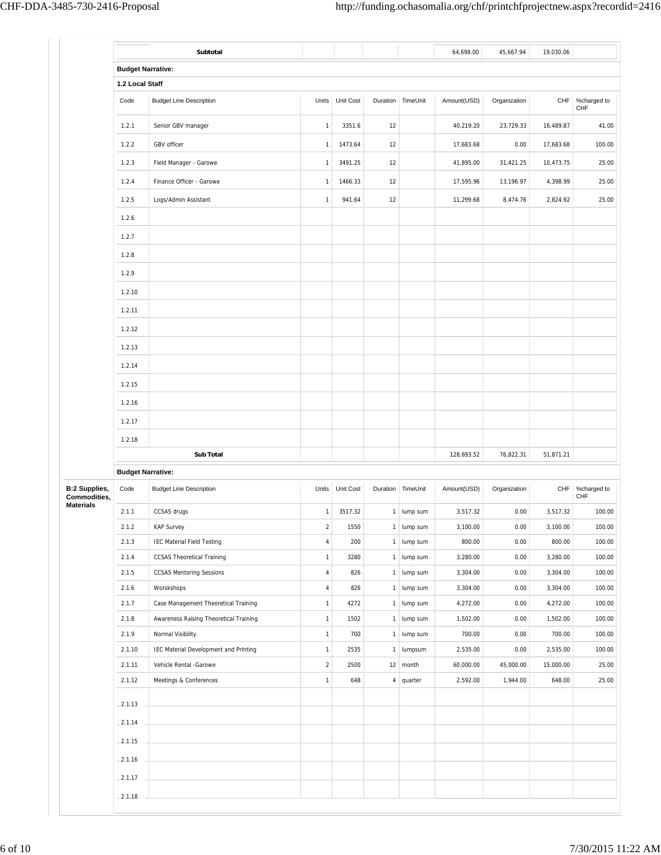|                                              | Subtotal                                                                       |                              |                 |          |                        | 64,698.00            | 45,667.94    | 19,030.06            |                    |
|----------------------------------------------|--------------------------------------------------------------------------------|------------------------------|-----------------|----------|------------------------|----------------------|--------------|----------------------|--------------------|
|                                              | <b>Budget Narrative:</b>                                                       |                              |                 |          |                        |                      |              |                      |                    |
|                                              | 1.2 Local Staff                                                                |                              |                 |          |                        |                      |              |                      |                    |
| Code                                         | <b>Budget Line Description</b>                                                 | Units                        | Unit Cost       | Duration | TimeUnit               | Amount(USD)          | Organization | CHF                  | %charged to<br>CHF |
| 1.2.1                                        | Senior GBV manager                                                             | $\mathbf{1}$                 | 3351.6          | 12       |                        | 40,219.20            | 23,729.33    | 16,489.87            | 41.00              |
| 1.2.2                                        | GBV officer                                                                    | $\mathbf{1}$                 | 1473.64         | 12       |                        | 17,683.68            | 0.00         | 17,683.68            | 100.00             |
| 1.2.3                                        | Field Manager - Garowe                                                         | $\mathbf{1}$                 | 3491.25         | 12       |                        | 41,895.00            | 31,421.25    | 10,473.75            | 25.00              |
| 1.2.4                                        | Finance Officer - Garowe                                                       | $\mathbf{1}$                 | 1466.33         | 12       |                        | 17,595.96            | 13,196.97    | 4,398.99             | 25.00              |
| 1.2.5                                        | Logs/Admin Assistant                                                           | $\mathbf{1}$                 | 941.64          | 12       |                        | 11,299.68            | 8,474.76     | 2,824.92             | 25.00              |
| 1.2.6                                        |                                                                                |                              |                 |          |                        |                      |              |                      |                    |
| 1.2.7                                        |                                                                                |                              |                 |          |                        |                      |              |                      |                    |
| 1.2.8                                        |                                                                                |                              |                 |          |                        |                      |              |                      |                    |
| 1.2.9                                        |                                                                                |                              |                 |          |                        |                      |              |                      |                    |
|                                              |                                                                                |                              |                 |          |                        |                      |              |                      |                    |
| 1.2.10                                       |                                                                                |                              |                 |          |                        |                      |              |                      |                    |
| 1.2.11                                       |                                                                                |                              |                 |          |                        |                      |              |                      |                    |
| 1.2.12                                       |                                                                                |                              |                 |          |                        |                      |              |                      |                    |
| 1.2.13                                       |                                                                                |                              |                 |          |                        |                      |              |                      |                    |
| 1.2.14                                       |                                                                                |                              |                 |          |                        |                      |              |                      |                    |
| 1.2.15                                       |                                                                                |                              |                 |          |                        |                      |              |                      |                    |
| 1.2.16                                       |                                                                                |                              |                 |          |                        |                      |              |                      |                    |
| 1.2.17                                       |                                                                                |                              |                 |          |                        |                      |              |                      |                    |
| 1.2.18                                       |                                                                                |                              |                 |          |                        |                      |              |                      |                    |
|                                              | <b>Sub Total</b>                                                               |                              |                 |          |                        | 128,693.52           | 76,822.31    | 51,871.21            |                    |
|                                              | <b>Budget Narrative:</b>                                                       |                              |                 |          |                        |                      |              |                      |                    |
| <b>B:2 Supplies,</b><br>Code<br>Commodities, | <b>Budget Line Description</b>                                                 |                              | Units Unit Cost |          | Duration TimeUnit      | Amount(USD)          | Organization | CHF                  | %charged to<br>CHF |
| 2.1.1                                        | CCSAS drugs                                                                    | $\mathbf{1}$                 | 3517.32         | 1        | lump sum               | 3,517.32             | 0.00         | 3,517.32             | 100.00             |
| 2.1.2                                        | <b>KAP Survey</b>                                                              | $\sqrt{2}$                   | 1550            |          | $1$ lump sum           | 3,100.00             | 0.00         | 3,100.00             | 100.00             |
| 2.1.3                                        | <b>IEC Material Field Testing</b>                                              | $\sqrt{4}$                   | 200             | 1        | lump sum               | 800.00               | 0.00         | 800.00               | 100.00             |
| 2.1.4                                        | <b>CCSAS Theoretical Training</b>                                              | $\mathbf{1}$                 | 3280            |          | 1 lump sum             | 3,280.00             | 0.00         | 3,280.00             | 100.00             |
| 2.1.5<br>2.1.6                               | <b>CCSAS Mentoring Sessions</b><br>Worskshops                                  | $\sqrt{4}$<br>$\sqrt{4}$     | 826<br>826      | 1<br>1   | lump sum<br>lump sum   | 3,304.00<br>3,304.00 | 0.00<br>0.00 | 3,304.00<br>3,304.00 | 100.00<br>100.00   |
| 2.1.7                                        |                                                                                |                              |                 |          | lump sum               | 4,272.00             | 0.00         | 4,272.00             | 100.00             |
|                                              |                                                                                |                              |                 |          |                        |                      |              |                      |                    |
| 2.1.8                                        | Case Management Theoretical Training<br>Awareness Raising Theoretical Training | $\mathbf{1}$<br>$\mathbf{1}$ | 4272<br>1502    | 1<br>1   | lump sum               | 1,502.00             | 0.00         | 1,502.00             | 100.00             |
| 2.1.9                                        | Normal Visibility                                                              | $\mathbf 1$                  | 700             |          | 1 lump sum             | 700.00               | 0.00         | 700.00               | 100.00             |
| 2.1.10                                       | IEC Material Development and Printing                                          | $\mathbf 1$                  | 2535            | 1        | lumpsum                | 2,535.00             | 0.00         | 2,535.00             | 100.00             |
| 2.1.11                                       | Vehicle Rental -Garowe                                                         | $\overline{a}$               | 2500            |          | $12 \mid \text{month}$ | 60,000.00            | 45,000.00    | 15,000.00            | 25.00              |
| 2.1.12                                       | Meetings & Conferences                                                         | $\mathbf{1}$                 | 648             | 4        | quarter                | 2,592.00             | 1,944.00     | 648.00               | 25.00              |
| $-2.1.13$                                    |                                                                                |                              |                 |          |                        |                      |              |                      |                    |
| $-2.1.14$                                    |                                                                                |                              |                 |          |                        |                      |              |                      |                    |
| $-2.1.15$                                    |                                                                                |                              |                 |          |                        |                      |              |                      |                    |
|                                              |                                                                                |                              |                 |          |                        |                      |              |                      |                    |
| $-2.1.16$<br>$-2.1.17$                       |                                                                                |                              |                 |          |                        |                      |              |                      |                    |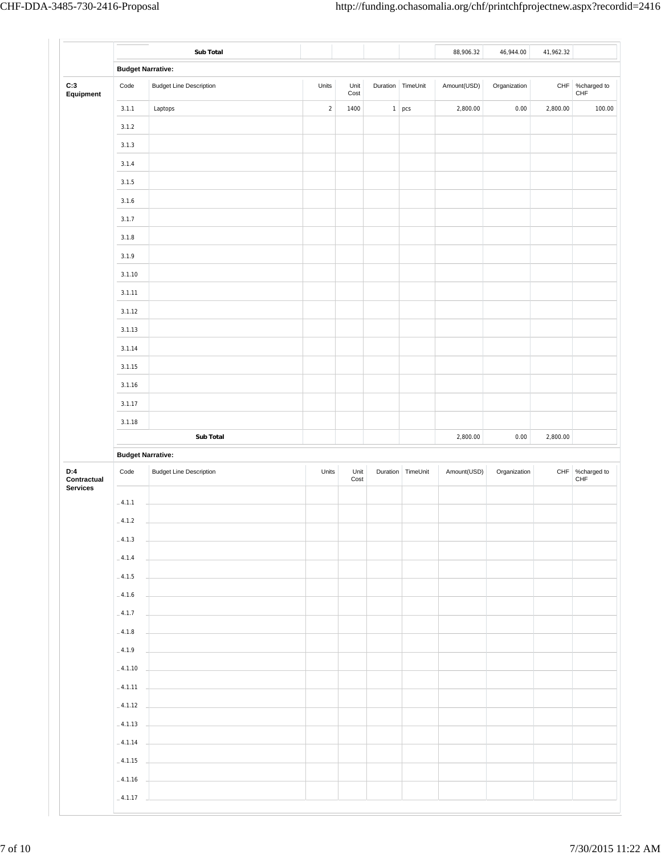|                                       |                          | Sub Total                      |            |              |   |                   | 88,906.32   | 46,944.00    | 41,962.32 |                    |
|---------------------------------------|--------------------------|--------------------------------|------------|--------------|---|-------------------|-------------|--------------|-----------|--------------------|
|                                       | <b>Budget Narrative:</b> |                                |            |              |   |                   |             |              |           |                    |
| C:3<br>Equipment                      | Code                     | <b>Budget Line Description</b> | Units      | Unit<br>Cost |   | Duration TimeUnit | Amount(USD) | Organization | CHF       | %charged to<br>CHF |
|                                       | 3.1.1                    | Laptops                        | $\sqrt{2}$ | 1400         | 1 | pcs               | 2,800.00    | 0.00         | 2,800.00  | 100.00             |
|                                       | 3.1.2                    |                                |            |              |   |                   |             |              |           |                    |
|                                       | 3.1.3                    |                                |            |              |   |                   |             |              |           |                    |
|                                       | 3.1.4                    |                                |            |              |   |                   |             |              |           |                    |
|                                       | 3.1.5                    |                                |            |              |   |                   |             |              |           |                    |
|                                       | 3.1.6                    |                                |            |              |   |                   |             |              |           |                    |
|                                       | 3.1.7                    |                                |            |              |   |                   |             |              |           |                    |
|                                       | 3.1.8                    |                                |            |              |   |                   |             |              |           |                    |
|                                       | 3.1.9                    |                                |            |              |   |                   |             |              |           |                    |
|                                       | 3.1.10                   |                                |            |              |   |                   |             |              |           |                    |
|                                       | 3.1.11                   |                                |            |              |   |                   |             |              |           |                    |
|                                       | 3.1.12                   |                                |            |              |   |                   |             |              |           |                    |
|                                       | 3.1.13                   |                                |            |              |   |                   |             |              |           |                    |
|                                       | 3.1.14                   |                                |            |              |   |                   |             |              |           |                    |
|                                       | 3.1.15                   |                                |            |              |   |                   |             |              |           |                    |
|                                       | 3.1.16                   |                                |            |              |   |                   |             |              |           |                    |
|                                       | 3.1.17                   |                                |            |              |   |                   |             |              |           |                    |
|                                       |                          |                                |            |              |   |                   |             |              |           |                    |
|                                       | 3.1.18                   |                                |            |              |   |                   |             |              |           |                    |
|                                       |                          | Sub Total                      |            |              |   |                   | 2,800.00    | 0.00         | 2,800.00  |                    |
|                                       | <b>Budget Narrative:</b> |                                |            |              |   |                   |             |              |           |                    |
|                                       | Code                     | <b>Budget Line Description</b> | Units      | Unit<br>Cost |   | Duration TimeUnit | Amount(USD) | Organization | CHF       | ${\sf CHF}$        |
|                                       | $-4.1.1$                 |                                |            |              |   |                   |             |              |           |                    |
|                                       | $-4.1.2$                 |                                |            |              |   |                   |             |              |           |                    |
|                                       |                          |                                |            |              |   |                   |             |              |           |                    |
|                                       | $-4.1.3$                 |                                |            |              |   |                   |             |              |           |                    |
|                                       | $-4.1.4$                 |                                |            |              |   |                   |             |              |           |                    |
|                                       | $-4.1.5$                 |                                |            |              |   |                   |             |              |           |                    |
|                                       | $-4.1.6$                 |                                |            |              |   |                   |             |              |           |                    |
|                                       | $-4.1.7$                 |                                |            |              |   |                   |             |              |           |                    |
|                                       | $-4.1.8$                 |                                |            |              |   |                   |             |              |           |                    |
|                                       | $-4.1.9$                 |                                |            |              |   |                   |             |              |           |                    |
|                                       | $-4.1.10$                |                                |            |              |   |                   |             |              |           |                    |
|                                       | $-4.1.11$                |                                |            |              |   |                   |             |              |           |                    |
|                                       | $-4.1.12$                |                                |            |              |   |                   |             |              |           |                    |
|                                       | $-4.1.13$                |                                |            |              |   |                   |             |              |           |                    |
| D:4<br>Contractual<br><b>Services</b> | $-4.1.14$                |                                |            |              |   |                   |             |              |           |                    |
|                                       | $-4.1.15$<br>$-4.1.16$   |                                |            |              |   |                   |             |              |           | %charged to        |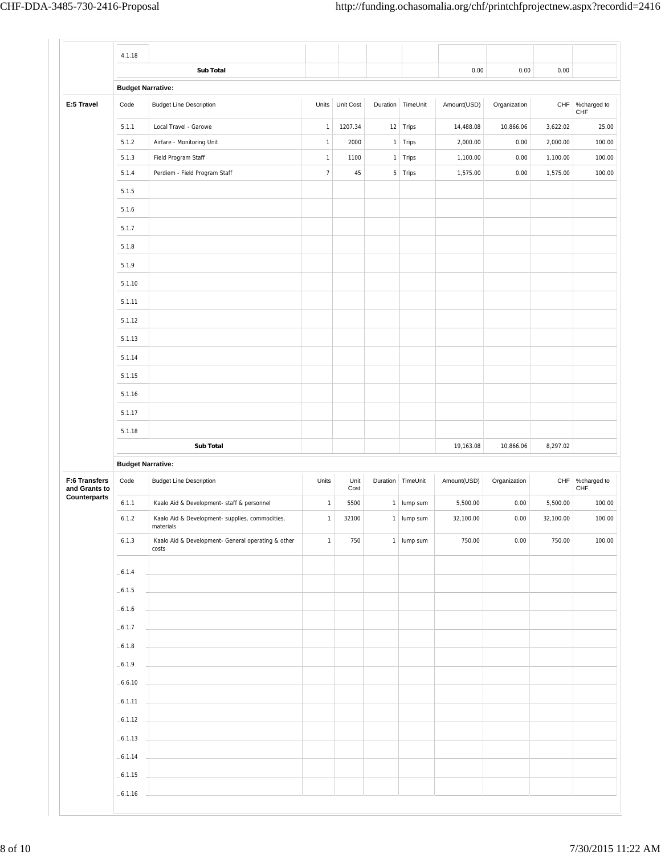|                                                | 4.1.18                   |                                                              |                |              |              |                     |             |              |           |                                                      |
|------------------------------------------------|--------------------------|--------------------------------------------------------------|----------------|--------------|--------------|---------------------|-------------|--------------|-----------|------------------------------------------------------|
|                                                |                          | <b>Sub Total</b>                                             |                |              |              |                     | 0.00        | 0.00         | 0.00      |                                                      |
|                                                | <b>Budget Narrative:</b> |                                                              |                |              |              |                     |             |              |           |                                                      |
| E:5 Travel                                     | Code                     | <b>Budget Line Description</b>                               | Units          | Unit Cost    |              | Duration TimeUnit   | Amount(USD) | Organization |           | CHF   %charged to<br>CHF                             |
|                                                | 5.1.1                    | Local Travel - Garowe                                        | $\mathbf{1}$   | 1207.34      |              | 12 Trips            | 14,488.08   | 10,866.06    | 3,622.02  | 25.00                                                |
|                                                | 5.1.2                    | Airfare - Monitoring Unit                                    | $\mathbf{1}$   | 2000         | $\mathbf{1}$ | Trips               | 2,000.00    | 0.00         | 2,000.00  | 100.00                                               |
|                                                | 5.1.3                    | Field Program Staff                                          | $\mathbf 1$    | 1100         |              | 1 Trips             | 1,100.00    | 0.00         | 1,100.00  | 100.00                                               |
|                                                | 5.1.4                    | Perdiem - Field Program Staff                                | $\overline{7}$ | 45           |              | $5$ Trips           | 1,575.00    | 0.00         | 1,575.00  | 100.00                                               |
|                                                | 5.1.5                    |                                                              |                |              |              |                     |             |              |           |                                                      |
|                                                | 5.1.6                    |                                                              |                |              |              |                     |             |              |           |                                                      |
|                                                | 5.1.7                    |                                                              |                |              |              |                     |             |              |           |                                                      |
|                                                | 5.1.8                    |                                                              |                |              |              |                     |             |              |           |                                                      |
|                                                | 5.1.9                    |                                                              |                |              |              |                     |             |              |           |                                                      |
|                                                | 5.1.10                   |                                                              |                |              |              |                     |             |              |           |                                                      |
|                                                | 5.1.11                   |                                                              |                |              |              |                     |             |              |           |                                                      |
|                                                | 5.1.12                   |                                                              |                |              |              |                     |             |              |           |                                                      |
|                                                | 5.1.13                   |                                                              |                |              |              |                     |             |              |           |                                                      |
|                                                | 5.1.14                   |                                                              |                |              |              |                     |             |              |           |                                                      |
|                                                | 5.1.15                   |                                                              |                |              |              |                     |             |              |           |                                                      |
|                                                | 5.1.16                   |                                                              |                |              |              |                     |             |              |           |                                                      |
|                                                |                          |                                                              |                |              |              |                     |             |              |           |                                                      |
|                                                | 5.1.17                   |                                                              |                |              |              |                     |             |              |           |                                                      |
|                                                | 5.1.18                   |                                                              |                |              |              |                     |             |              |           |                                                      |
|                                                |                          | <b>Sub Total</b>                                             |                |              |              |                     | 19,163.08   | 10,866.06    | 8,297.02  |                                                      |
|                                                | <b>Budget Narrative:</b> |                                                              |                |              |              |                     |             |              |           |                                                      |
|                                                | Code                     | <b>Budget Line Description</b>                               | Units          | Unit<br>Cost |              | Duration   TimeUnit | Amount(USD) | Organization |           |                                                      |
|                                                | 6.1.1                    | Kaalo Aid & Development- staff & personnel                   | $\mathbf{1}$   | 5500         | 1            | lump sum            | 5,500.00    | 0.00         | 5,500.00  |                                                      |
|                                                | 6.1.2                    | Kaalo Aid & Development- supplies, commodities,<br>materials | $\mathbf{1}$   | 32100        |              | 1 lump sum          | 32,100.00   | 0.00         | 32,100.00 |                                                      |
|                                                | 6.1.3                    | Kaalo Aid & Development- General operating & other<br>costs  | $\mathbf{1}$   | 750          |              | $1$ lump sum        | 750.00      | 0.00         | 750.00    |                                                      |
|                                                |                          |                                                              |                |              |              |                     |             |              |           |                                                      |
|                                                | $-6.1.4$<br>$-6.1.5$     |                                                              |                |              |              |                     |             |              |           |                                                      |
|                                                | $-6.1.6$                 |                                                              |                |              |              |                     |             |              |           |                                                      |
| F:6 Transfers<br>and Grants to<br>Counterparts | $-6.1.7$                 |                                                              |                |              |              |                     |             |              |           |                                                      |
|                                                | $-6.1.8$                 |                                                              |                |              |              |                     |             |              |           |                                                      |
|                                                | $-6.1.9$                 |                                                              |                |              |              |                     |             |              |           |                                                      |
|                                                |                          |                                                              |                |              |              |                     |             |              |           |                                                      |
|                                                | $-6.6.10$                |                                                              |                |              |              |                     |             |              |           |                                                      |
|                                                | $-6.1.11$                |                                                              |                |              |              |                     |             |              |           |                                                      |
|                                                | $-6.1.12$                |                                                              |                |              |              |                     |             |              |           |                                                      |
|                                                | $-6.1.13$                |                                                              |                |              |              |                     |             |              |           |                                                      |
|                                                | $-6.1.14$<br>$-6.1.15$   |                                                              |                |              |              |                     |             |              |           | CHF %charged to<br>CHF<br>100.00<br>100.00<br>100.00 |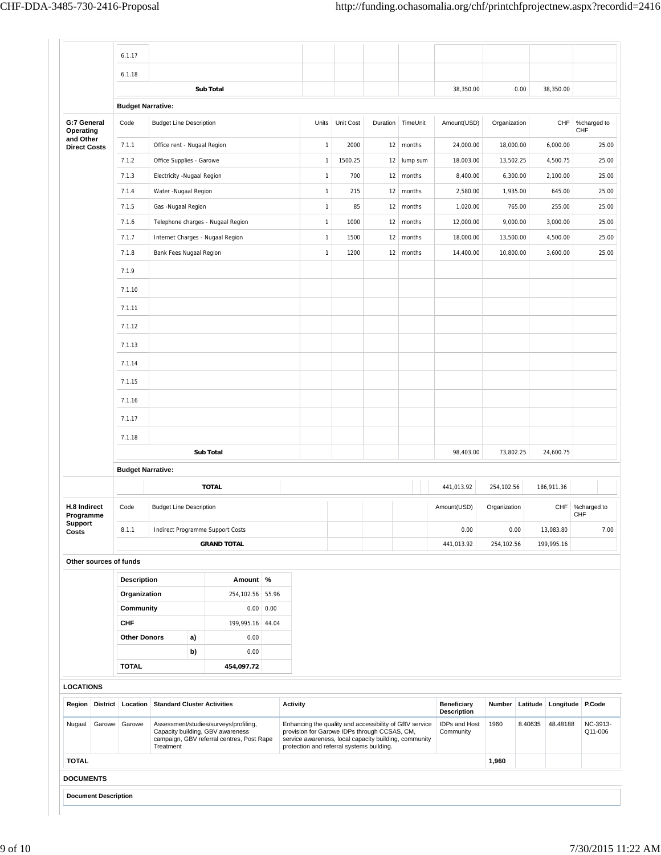$\Gamma$  .

|                                  | 6.1.17             |                                    |    |                                                                           |       |                                                                                                        |                         |          |    |          |                                          |              |          |                               |                     |
|----------------------------------|--------------------|------------------------------------|----|---------------------------------------------------------------------------|-------|--------------------------------------------------------------------------------------------------------|-------------------------|----------|----|----------|------------------------------------------|--------------|----------|-------------------------------|---------------------|
|                                  | 6.1.18             |                                    |    |                                                                           |       |                                                                                                        |                         |          |    |          |                                          |              |          |                               |                     |
|                                  |                    |                                    |    | <b>Sub Total</b>                                                          |       |                                                                                                        |                         |          |    |          | 38,350.00                                |              | 0.00     | 38,350.00                     |                     |
|                                  |                    | <b>Budget Narrative:</b>           |    |                                                                           |       |                                                                                                        |                         |          |    |          |                                          |              |          |                               |                     |
| G:7 General<br>Operating         | Code               | <b>Budget Line Description</b>     |    |                                                                           |       |                                                                                                        | Units Unit Cost         | Duration |    | TimeUnit | Amount(USD)                              | Organization |          | CHF                           | %charged to<br>CHF  |
| and Other<br><b>Direct Costs</b> | 7.1.1              | Office rent - Nugaal Region        |    |                                                                           |       |                                                                                                        | 2000<br>$\mathbf{1}$    |          | 12 | months   | 24,000.00                                | 18,000.00    |          | 6,000.00                      | 25.00               |
|                                  | 7.1.2              | Office Supplies - Garowe           |    |                                                                           |       |                                                                                                        | 1500.25<br>$\mathbf{1}$ |          | 12 | lump sum | 18,003.00                                | 13,502.25    |          | 4,500.75                      | 25.00               |
|                                  | 7.1.3              | Electricity -Nugaal Region         |    |                                                                           |       |                                                                                                        | 700<br>$\mathbf{1}$     |          | 12 | months   | 8,400.00                                 |              | 6,300.00 | 2,100.00                      | 25.00               |
|                                  | 7.1.4              | Water -Nugaal Region               |    |                                                                           |       |                                                                                                        | 215<br>$\mathbf{1}$     |          | 12 | months   | 2,580.00                                 |              | 1,935.00 | 645.00                        | 25.00               |
|                                  | 7.1.5              | Gas -Nugaal Region                 |    |                                                                           |       |                                                                                                        | 85<br>$\mathbf{1}$      |          | 12 | months   | 1,020.00                                 |              | 765.00   | 255.00                        | 25.00               |
|                                  | 7.1.6              |                                    |    | Telephone charges - Nugaal Region                                         |       |                                                                                                        | $\mathbf{1}$<br>1000    |          | 12 | months   | 12,000.00                                |              | 9,000.00 | 3,000.00                      | 25.00               |
|                                  | 7.1.7              |                                    |    | Internet Charges - Nugaal Region                                          |       |                                                                                                        | 1500<br>$\mathbf{1}$    |          | 12 | months   | 18,000.00                                | 13,500.00    |          | 4,500.00                      | 25.00               |
|                                  | 7.1.8              | Bank Fees Nugaal Region            |    |                                                                           |       |                                                                                                        | 1200<br>1               |          | 12 | months   | 14,400.00                                | 10,800.00    |          | 3,600.00                      | 25.00               |
|                                  | 7.1.9              |                                    |    |                                                                           |       |                                                                                                        |                         |          |    |          |                                          |              |          |                               |                     |
|                                  | 7.1.10             |                                    |    |                                                                           |       |                                                                                                        |                         |          |    |          |                                          |              |          |                               |                     |
|                                  | 7.1.11             |                                    |    |                                                                           |       |                                                                                                        |                         |          |    |          |                                          |              |          |                               |                     |
|                                  | 7.1.12             |                                    |    |                                                                           |       |                                                                                                        |                         |          |    |          |                                          |              |          |                               |                     |
|                                  | 7.1.13             |                                    |    |                                                                           |       |                                                                                                        |                         |          |    |          |                                          |              |          |                               |                     |
|                                  | 7.1.14             |                                    |    |                                                                           |       |                                                                                                        |                         |          |    |          |                                          |              |          |                               |                     |
|                                  | 7.1.15             |                                    |    |                                                                           |       |                                                                                                        |                         |          |    |          |                                          |              |          |                               |                     |
|                                  | 7.1.16             |                                    |    |                                                                           |       |                                                                                                        |                         |          |    |          |                                          |              |          |                               |                     |
|                                  | 7.1.17             |                                    |    |                                                                           |       |                                                                                                        |                         |          |    |          |                                          |              |          |                               |                     |
|                                  |                    |                                    |    |                                                                           |       |                                                                                                        |                         |          |    |          |                                          |              |          |                               |                     |
|                                  | 7.1.18             |                                    |    | <b>Sub Total</b>                                                          |       |                                                                                                        |                         |          |    |          | 98,403.00                                | 73,802.25    |          | 24,600.75                     |                     |
|                                  |                    |                                    |    |                                                                           |       |                                                                                                        |                         |          |    |          |                                          |              |          |                               |                     |
|                                  |                    | <b>Budget Narrative:</b>           |    |                                                                           |       |                                                                                                        |                         |          |    |          |                                          |              |          |                               |                     |
|                                  |                    |                                    |    | <b>TOTAL</b>                                                              |       |                                                                                                        |                         |          |    |          | 441,013.92                               | 254,102.56   |          | 186,911.36                    |                     |
| H.8 Indirect<br>Programme        | Code               | <b>Budget Line Description</b>     |    |                                                                           |       |                                                                                                        |                         |          |    |          | Amount(USD)                              | Organization |          | CHF                           | %charged to<br>CHF  |
| <b>Support</b><br>Costs          | 8.1.1              |                                    |    | Indirect Programme Support Costs                                          |       |                                                                                                        |                         |          |    |          | 0.00                                     |              | 0.00     | 13,083.80                     | 7.00                |
|                                  |                    |                                    |    | <b>GRAND TOTAL</b>                                                        |       |                                                                                                        |                         |          |    |          | 441,013.92                               | 254,102.56   |          | 199,995.16                    |                     |
| Other sources of funds           |                    |                                    |    |                                                                           |       |                                                                                                        |                         |          |    |          |                                          |              |          |                               |                     |
|                                  | <b>Description</b> |                                    |    | Amount   %                                                                |       |                                                                                                        |                         |          |    |          |                                          |              |          |                               |                     |
|                                  | Organization       |                                    |    | 254,102.56 55.96                                                          |       |                                                                                                        |                         |          |    |          |                                          |              |          |                               |                     |
|                                  | Community          |                                    |    | 0.00                                                                      | 0.00  |                                                                                                        |                         |          |    |          |                                          |              |          |                               |                     |
|                                  | <b>CHF</b>         |                                    |    | 199,995.16                                                                | 44.04 |                                                                                                        |                         |          |    |          |                                          |              |          |                               |                     |
|                                  |                    | <b>Other Donors</b>                | a) | 0.00                                                                      |       |                                                                                                        |                         |          |    |          |                                          |              |          |                               |                     |
|                                  |                    |                                    | b) | 0.00                                                                      |       |                                                                                                        |                         |          |    |          |                                          |              |          |                               |                     |
|                                  | <b>TOTAL</b>       |                                    |    | 454,097.72                                                                |       |                                                                                                        |                         |          |    |          |                                          |              |          |                               |                     |
| <b>LOCATIONS</b>                 |                    |                                    |    |                                                                           |       |                                                                                                        |                         |          |    |          |                                          |              |          |                               |                     |
| Region District                  | Location           | <b>Standard Cluster Activities</b> |    |                                                                           |       | <b>Activity</b>                                                                                        |                         |          |    |          | <b>Beneficiary</b><br><b>Description</b> | Number       |          | Latitude   Longitude   P.Code |                     |
|                                  | Garowe             |                                    |    | Assessment/studies/surveys/profiling,<br>Capacity building, GBV awareness |       | Enhancing the quality and accessibility of GBV service<br>provision for Garowe IDPs through CCSAS, CM, |                         |          |    |          | IDPs and Host<br>Community               | 1960         | 8.40635  | 48.48188                      | NC-3913-<br>Q11-006 |
| Nugaal<br>Garowe                 |                    | Treatment                          |    | campaign, GBV referral centres, Post Rape                                 |       | service awareness, local capacity building, community<br>protection and referral systems building.     |                         |          |    |          |                                          |              |          |                               |                     |
| <b>TOTAL</b>                     |                    |                                    |    |                                                                           |       |                                                                                                        |                         |          |    |          |                                          | 1,960        |          |                               |                     |